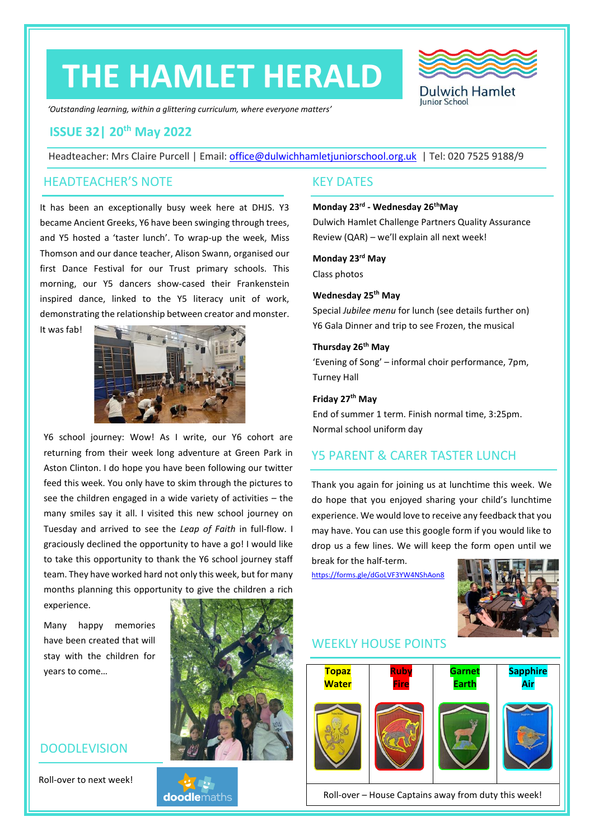# **THE HAMLET HERALD**



*'Outstanding learning, within a glittering curriculum, where everyone matters'*

# **ISSUE 32| 20th May 2022**

Headteacher: Mrs Claire Purcell | Email: [office@dulwichhamletjuniorschool.org.uk](mailto:office@dulwichhamletjuniorschool.org.uk) | Tel: 020 7525 9188/9

### HEADTEACHER'S NOTE KEY DATES

It has been an exceptionally busy week here at DHJS. Y3 became Ancient Greeks, Y6 have been swinging through trees, and Y5 hosted a 'taster lunch'. To wrap-up the week, Miss Thomson and our dance teacher, Alison Swann, organised our first Dance Festival for our Trust primary schools. This morning, our Y5 dancers show-cased their Frankenstein inspired dance, linked to the Y5 literacy unit of work, demonstrating the relationship between creator and monster.

It was fab!



Y6 school journey: Wow! As I write, our Y6 cohort are returning from their week long adventure at Green Park in Aston Clinton. I do hope you have been following our twitter feed this week. You only have to skim through the pictures to see the children engaged in a wide variety of activities – the many smiles say it all. I visited this new school journey on Tuesday and arrived to see the *Leap of Faith* in full-flow. I graciously declined the opportunity to have a go! I would like to take this opportunity to thank the Y6 school journey staff team. They have worked hard not only this week, but for many months planning this opportunity to give the children a rich

experience.

Many happy memories have been created that will stay with the children for years to come…

## DOODLEVISION

Roll-over to next week!



**doodle**maths

# **Monday 23rd - Wednesday 26thMay**

Dulwich Hamlet Challenge Partners Quality Assurance Review (QAR) – we'll explain all next week!

**Monday 23rd May**

Class photos

#### **Wednesday 25th May**

Special *Jubilee menu* for lunch (see details further on) Y6 Gala Dinner and trip to see Frozen, the musical

#### **Thursday 26th May**

'Evening of Song' – informal choir performance, 7pm, Turney Hall

#### **Friday 27th May**

End of summer 1 term. Finish normal time, 3:25pm. Normal school uniform day

# Y5 PARENT & CARER TASTER LUNCH

Thank you again for joining us at lunchtime this week. We do hope that you enjoyed sharing your child's lunchtime experience. We would love to receive any feedback that you may have. You can use this google form if you would like to drop us a few lines. We will keep the form open until we

<https://forms.gle/dGoLVF3YW4NShAon8>

break for the half-term.



# WEEKLY HOUSE POINTS



Roll-over – House Captains away from duty this week!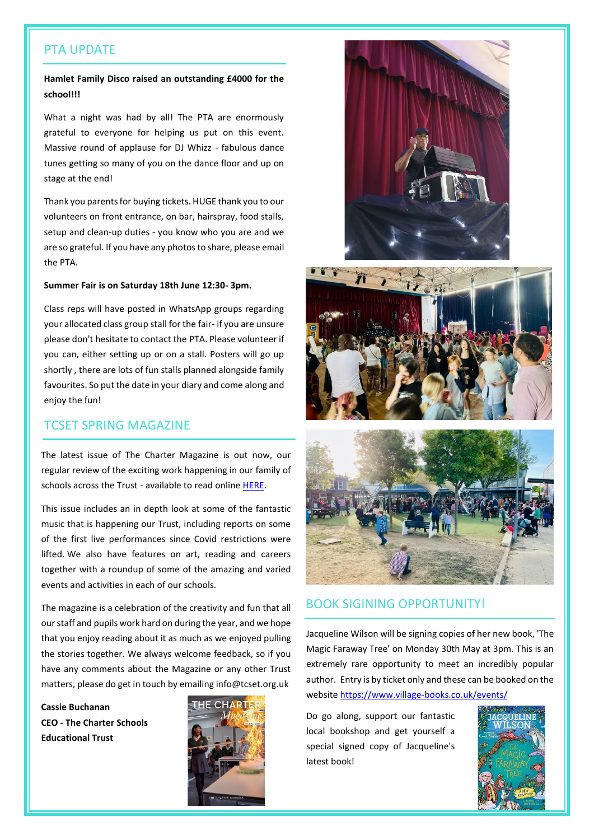#### PTA UPDATE

#### **Hamlet Family Disco raised an outstanding £4000 for the school!!!**

What a night was had by all! The PTA are enormously grateful to everyone for helping us put on this event. Massive round of applause for DJ Whizz - fabulous dance tunes getting so many of you on the dance floor and up on stage at the end!

Thank you parents for buying tickets. HUGE thank you to our volunteers on front entrance, on bar, hairspray, food stalls, setup and clean-up duties - you know who you are and we are so grateful. If you have any photos to share, please email the PTA.

#### **Summer Fair is on Saturday 18th June 12:30- 3pm.**

Class reps will have posted in WhatsApp groups regarding your allocated class group stall for the fair- if you are unsure please don't hesitate to contact the PTA. Please volunteer if you can, either setting up or on a stall. Posters will go up shortly , there are lots of fun stalls planned alongside family favourites. So put the date in your diary and come along and enjoy the fun!

### TCSET SPRING MAGAZINE

The latest issue of The Charter Magazine is out now, our regular review of the exciting work happening in our family of schools across the Trust - available to read online [HERE.](https://online.flippingbook.com/view/813035296/)

This issue includes an in depth look at some of the fantastic music that is happening our Trust, including reports on some of the first live performances since Covid restrictions were lifted. We also have features on art, reading and careers together with a roundup of some of the amazing and varied events and activities in each of our schools.

The magazine is a celebration of the creativity and fun that all our staff and pupils work hard on during the year, and we hope that you enjoy reading about it as much as we enjoyed pulling the stories together. We always welcome feedback, so if you have any comments about the Magazine or any other Trust matters, please do get in touch by emailing info@tcset.org.uk

**Cassie Buchanan CEO - The Charter Schools Educational Trust**









#### BOOK SIGINING OPPORTUNITY!

Jacqueline Wilson will be signing copies of her new book, 'The Magic Faraway Tree' on Monday 30th May at 3pm. This is an extremely rare opportunity to meet an incredibly popular author. Entry is by ticket only and these can be booked on the website <https://www.village-books.co.uk/events/>

Do go along, support our fantastic local bookshop and get yourself a special signed copy of Jacqueline's latest book!